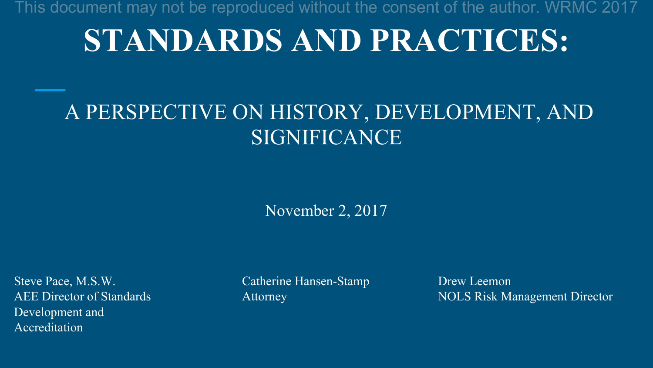# **STANDARDS AND PRACTICES:**

#### A PERSPECTIVE ON HISTORY, DEVELOPMENT, AND SIGNIFICANCE

November 2, 2017

Steve Pace, M.S.W. Catherine Hansen-Stamp Drew Leemon Development and Accreditation

AEE Director of Standards Attorney Attorney NOLS Risk Management Director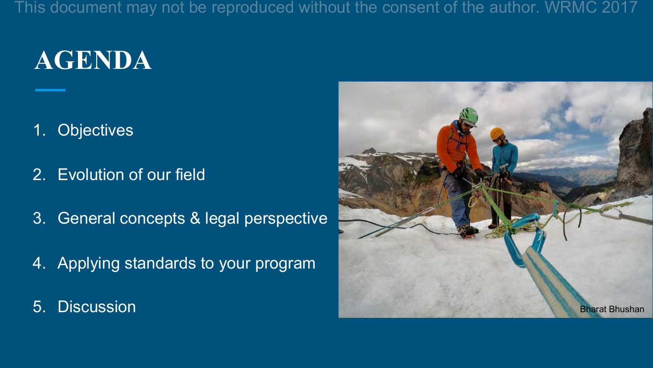# **AGENDA**

- 1. Objectives
- 2. Evolution of our field
- 3. General concepts & legal perspective
- 4. Applying standards to your program
- 

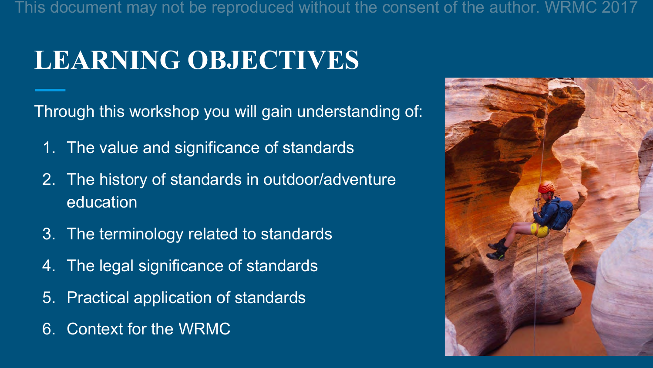## **LEARNING OBJECTIVES**

Through this workshop you will gain understanding of:

- 1. The value and significance of standards
- 2. The history of standards in outdoor/adventure education
- 3. The terminology related to standards
- 4. The legal significance of standards
- 5. Practical application of standards
- 6. Context for the WRMC

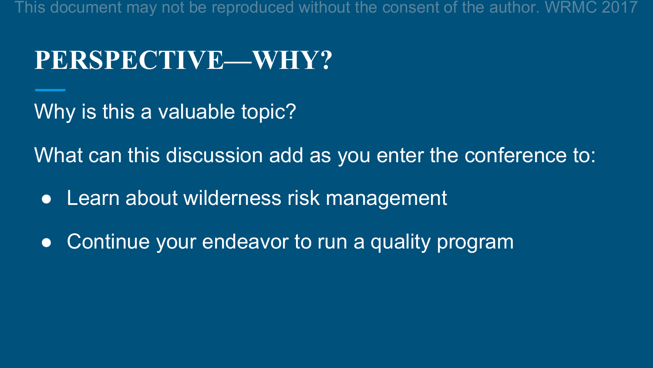#### **PERSPECTIVE—WHY?**

Why is this a valuable topic?

What can this discussion add as you enter the conference to:

- Learn about wilderness risk management
- Continue your endeavor to run a quality program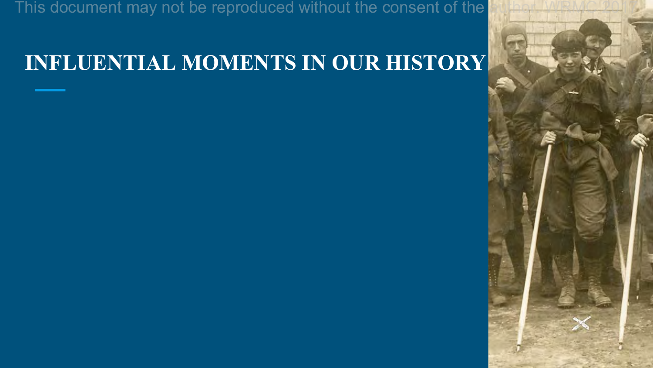#### **INFLUENTIAL MOMENTS IN OUR HISTORY**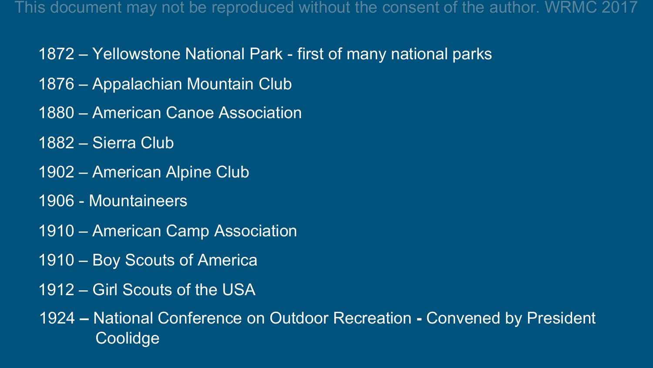- 1872 Yellowstone National Park first of many national parks
- 1876 Appalachian Mountain Club
- 1880 American Canoe Association
- 1882 Sierra Club
- 1902 American Alpine Club
- 1906 Mountaineers
- 1910 American Camp Association
- 1910 Boy Scouts of America
- 1912 Girl Scouts of the USA

1924 **–** National Conference on Outdoor Recreation **-** Convened by President Coolidge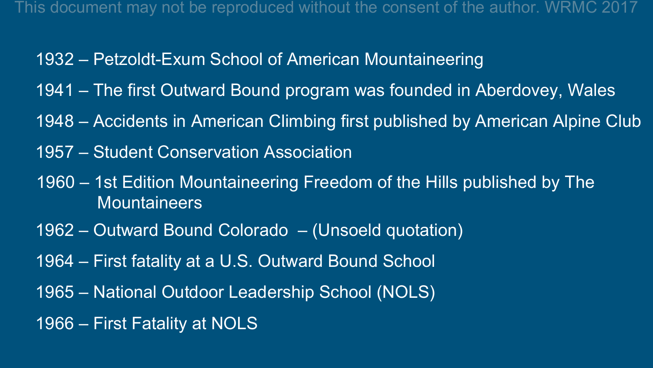- 1932 Petzoldt-Exum School of American Mountaineering
- 1941 The first Outward Bound program was founded in Aberdovey, Wales
- 1948 Accidents in American Climbing first published by American Alpine Club
- 1957 Student Conservation Association
- 1960 1st Edition Mountaineering Freedom of the Hills published by The **Mountaineers**
- 1962 Outward Bound Colorado (Unsoeld quotation)
- 1964 First fatality at a U.S. Outward Bound School
- 1965 National Outdoor Leadership School (NOLS)
- 1966 First Fatality at NOLS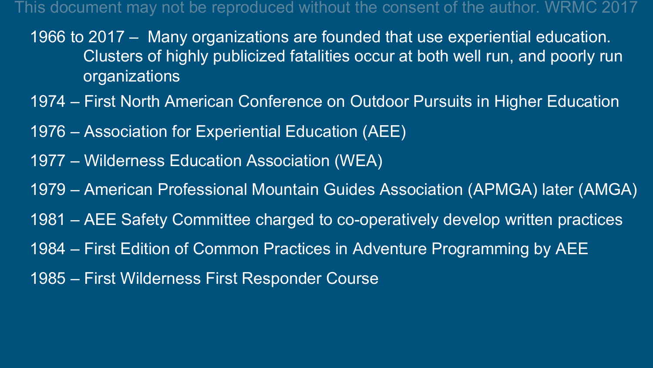- 1966 to 2017 Many organizations are founded that use experiential education. Clusters of highly publicized fatalities occur at both well run, and poorly run organizations
- 1974 First North American Conference on Outdoor Pursuits in Higher Education
- 1976 Association for Experiential Education (AEE)
- 1977 Wilderness Education Association (WEA)
- 1979 American Professional Mountain Guides Association (APMGA) later (AMGA)
- 1981 AEE Safety Committee charged to co-operatively develop written practices
- 1984 First Edition of Common Practices in Adventure Programming by AEE
- 1985 First Wilderness First Responder Course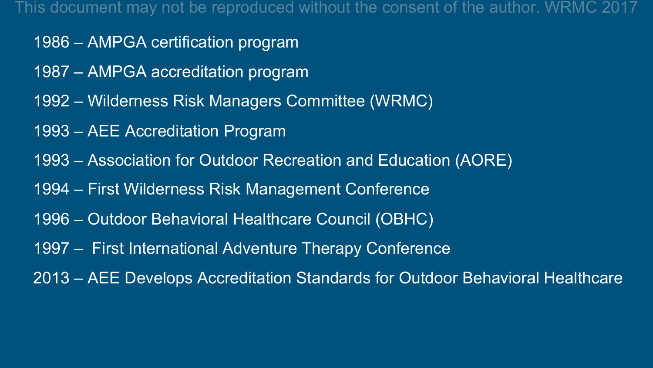- 1986 AMPGA certification program
- 1987 AMPGA accreditation program
- 1992 Wilderness Risk Managers Committee (WRMC)
- 1993 AEE Accreditation Program
- 1993 Association for Outdoor Recreation and Education (AORE)
- 1994 First Wilderness Risk Management Conference
- 1996 Outdoor Behavioral Healthcare Council (OBHC)
- 1997 First International Adventure Therapy Conference
- 2013 AEE Develops Accreditation Standards for Outdoor Behavioral Healthcare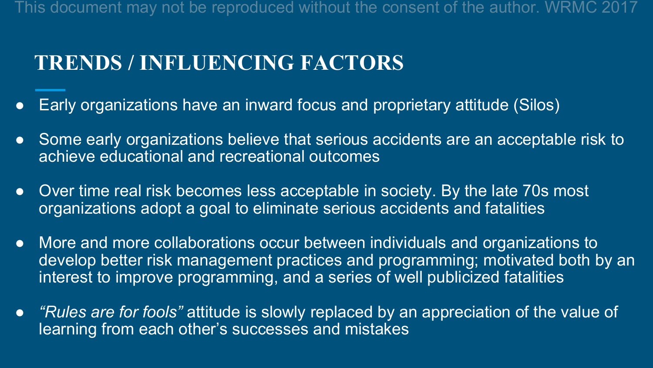#### **TRENDS / INFLUENCING FACTORS**

- Early organizations have an inward focus and proprietary attitude (Silos)
- Some early organizations believe that serious accidents are an acceptable risk to achieve educational and recreational outcomes
- Over time real risk becomes less acceptable in society. By the late 70s most organizations adopt a goal to eliminate serious accidents and fatalities
- More and more collaborations occur between individuals and organizations to develop better risk management practices and programming; motivated both by an interest to improve programming, and a series of well publicized fatalities
- *"Rules are for fools"* attitude is slowly replaced by an appreciation of the value of learning from each other's successes and mistakes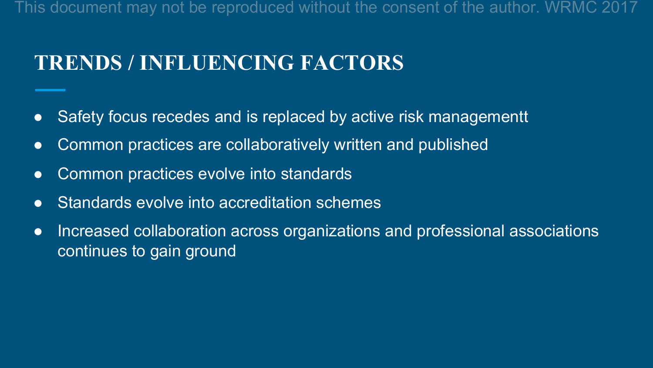#### **TRENDS / INFLUENCING FACTORS**

- Safety focus recedes and is replaced by active risk managementt
- Common practices are collaboratively written and published
- Common practices evolve into standards
- Standards evolve into accreditation schemes
- Increased collaboration across organizations and professional associations continues to gain ground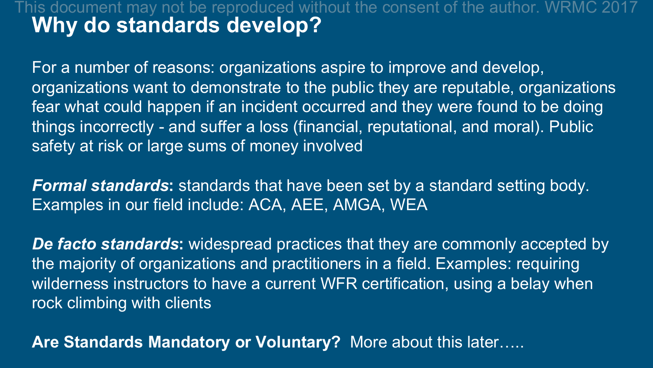#### **Why do standards develop?** This document may not be reproduced without the consent of the author. WRMC 2017

For a number of reasons: organizations aspire to improve and develop, organizations want to demonstrate to the public they are reputable, organizations fear what could happen if an incident occurred and they were found to be doing things incorrectly - and suffer a loss (financial, reputational, and moral). Public safety at risk or large sums of money involved

*Formal standards***:** standards that have been set by a standard setting body. Examples in our field include: ACA, AEE, AMGA, WEA

*De facto standards***:** widespread practices that they are commonly accepted by the majority of organizations and practitioners in a field. Examples: requiring wilderness instructors to have a current WFR certification, using a belay when rock climbing with clients

**Are Standards Mandatory or Voluntary?** More about this later…..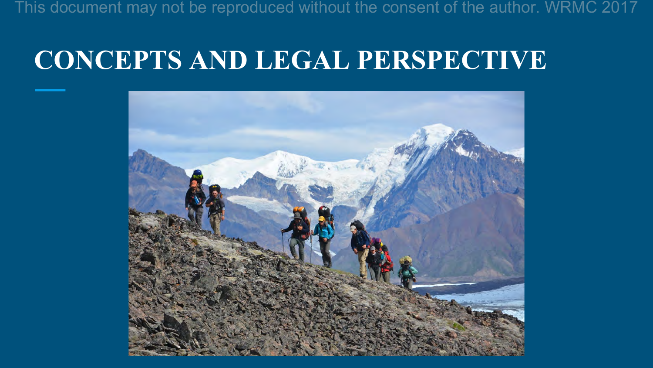### **CONCEPTS AND LEGAL PERSPECTIVE**

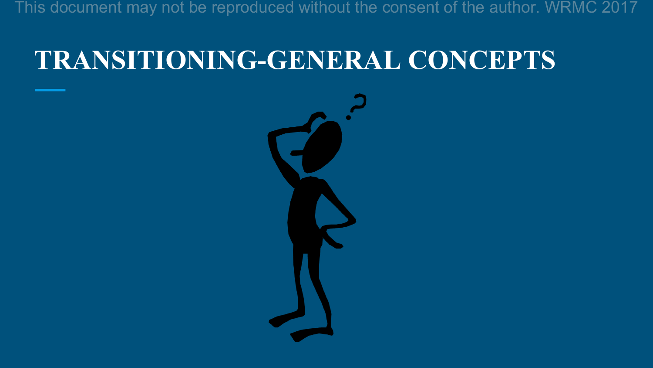# **TRANSITIONING-GENERAL CONCEPTS**

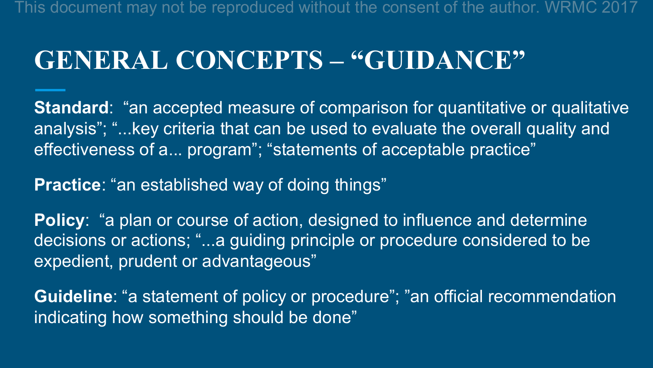### **GENERAL CONCEPTS – "GUIDANCE"**

**Standard:** "an accepted measure of comparison for quantitative or qualitative analysis"; "...key criteria that can be used to evaluate the overall quality and effectiveness of a... program"; "statements of acceptable practice"

**Practice**: "an established way of doing things"

**Policy:** "a plan or course of action, designed to influence and determine decisions or actions; "...a guiding principle or procedure considered to be expedient, prudent or advantageous"

**Guideline**: "a statement of policy or procedure"; "an official recommendation indicating how something should be done"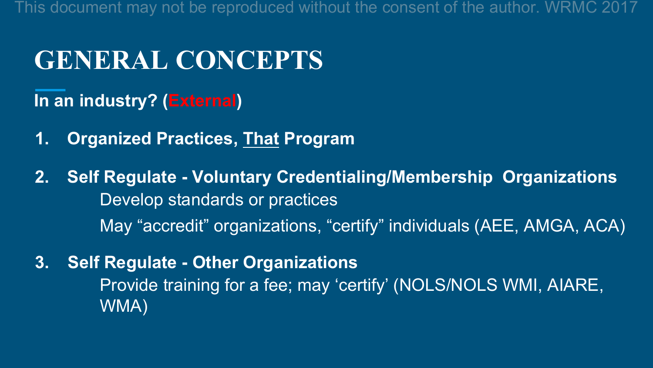#### **GENERAL CONCEPTS**

**In an industry? (External)**

- **1. Organized Practices, That Program**
- **2. Self Regulate Voluntary Credentialing/Membership Organizations**  Develop standards or practices May "accredit" organizations, "certify" individuals (AEE, AMGA, ACA)
- **3. Self Regulate Other Organizations** Provide training for a fee; may 'certify' (NOLS/NOLS WMI, AIARE, WMA)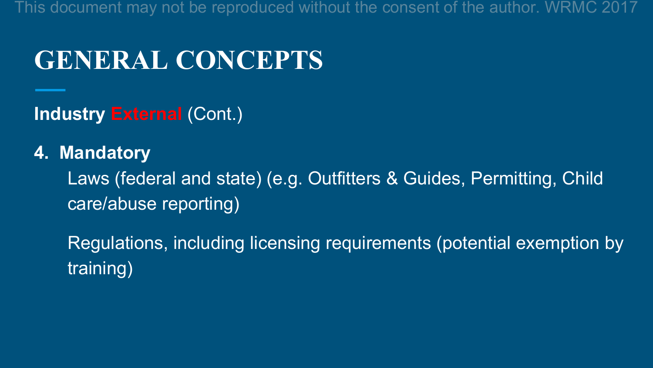#### **GENERAL CONCEPTS**

**Industry External** (Cont.)

#### **4. Mandatory**

Laws (federal and state) (e.g. Outfitters & Guides, Permitting, Child care/abuse reporting)

Regulations, including licensing requirements (potential exemption by training)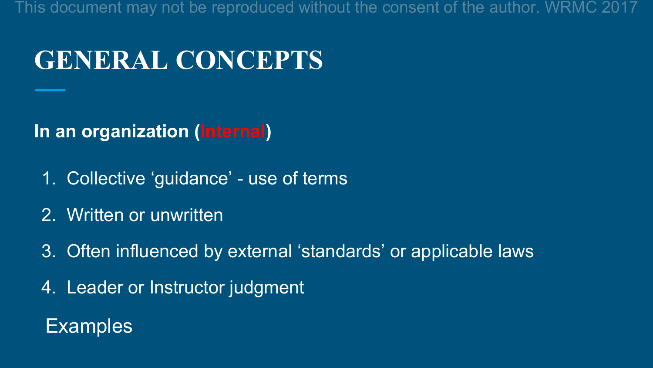## **GENERAL CONCEPTS**

**In an organization (Internal)**

- 1. Collective 'guidance' use of terms
- 2. Written or unwritten
- 3. Often influenced by external 'standards' or applicable laws
- 4. Leader or Instructor judgment

#### Examples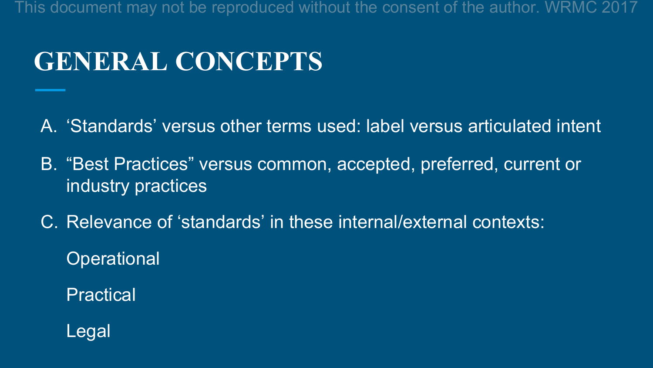# **GENERAL CONCEPTS**

A. 'Standards' versus other terms used: label versus articulated intent

- B. "Best Practices" versus common, accepted, preferred, current or industry practices
- C. Relevance of 'standards' in these internal/external contexts:

**Operational** 

**Practical** 

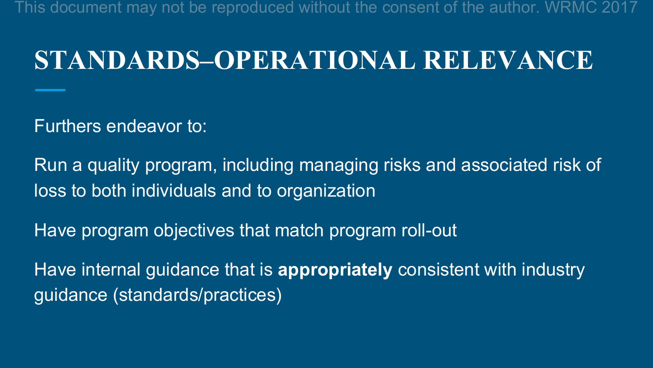#### **STANDARDS–OPERATIONAL RELEVANCE**

Furthers endeavor to:

Run a quality program, including managing risks and associated risk of loss to both individuals and to organization

Have program objectives that match program roll-out

Have internal guidance that is **appropriately** consistent with industry guidance (standards/practices)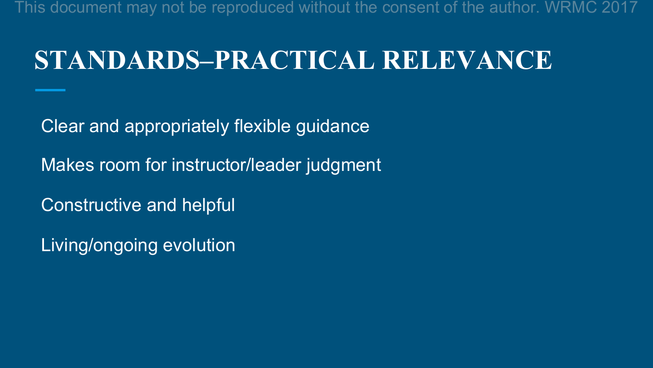#### **STANDARDS–PRACTICAL RELEVANCE**

Clear and appropriately flexible guidance Makes room for instructor/leader judgment Constructive and helpful

Living/ongoing evolution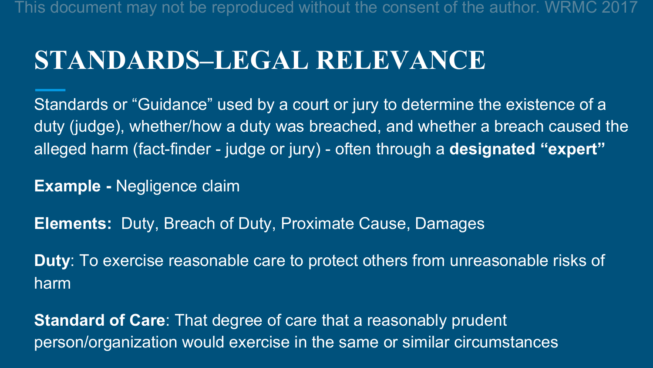#### **STANDARDS–LEGAL RELEVANCE**

Standards or "Guidance" used by a court or jury to determine the existence of a duty (judge), whether/how a duty was breached, and whether a breach caused the alleged harm (fact-finder - judge or jury) - often through a **designated "expert"**

**Example -** Negligence claim

**Elements:** Duty, Breach of Duty, Proximate Cause, Damages

**Duty**: To exercise reasonable care to protect others from unreasonable risks of harm

**Standard of Care**: That degree of care that a reasonably prudent person/organization would exercise in the same or similar circumstances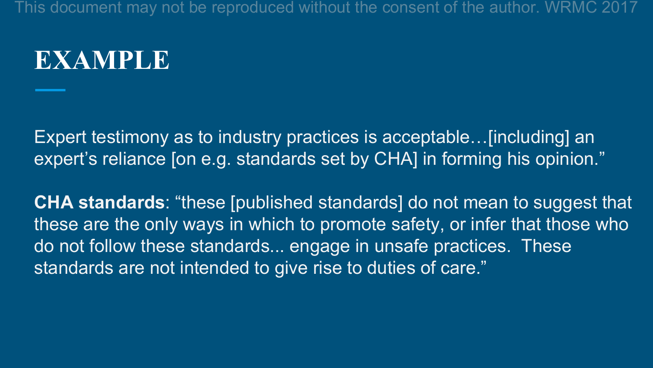#### **EXAMPLE**

Expert testimony as to industry practices is acceptable…[including] an expert's reliance [on e.g. standards set by CHA] in forming his opinion."

**CHA standards**: "these [published standards] do not mean to suggest that these are the only ways in which to promote safety, or infer that those who do not follow these standards... engage in unsafe practices. These standards are not intended to give rise to duties of care."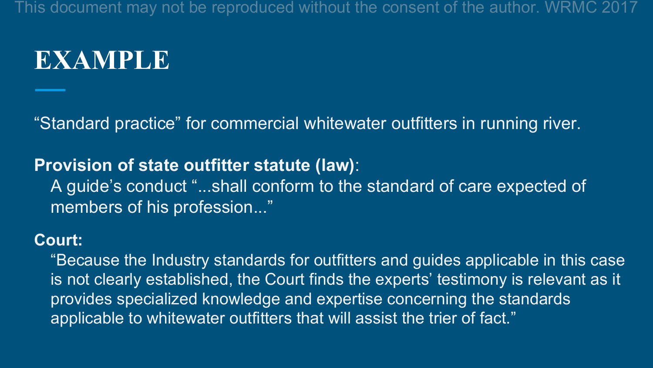#### **EXAMPLE**

"Standard practice" for commercial whitewater outfitters in running river.

#### **Provision of state outfitter statute (law)**:

A guide's conduct "...shall conform to the standard of care expected of members of his profession..."

#### **Court:**

"Because the Industry standards for outfitters and guides applicable in this case is not clearly established, the Court finds the experts' testimony is relevant as it provides specialized knowledge and expertise concerning the standards applicable to whitewater outfitters that will assist the trier of fact."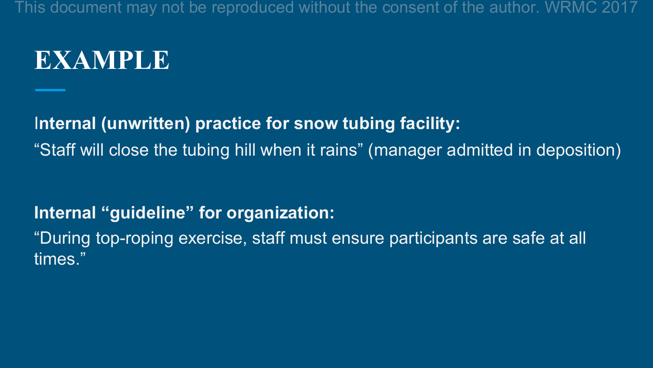#### **EXAMPLE**

I**nternal (unwritten) practice for snow tubing facility:** 

"Staff will close the tubing hill when it rains" (manager admitted in deposition)

**Internal "guideline" for organization:**

"During top-roping exercise, staff must ensure participants are safe at all times."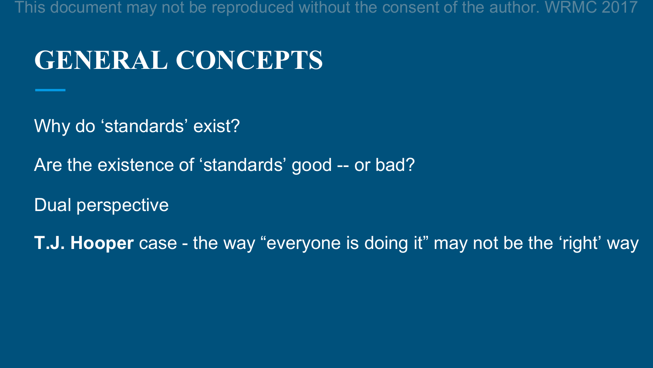#### **GENERAL CONCEPTS**

Why do 'standards' exist?

Are the existence of 'standards' good -- or bad?

Dual perspective

**T.J. Hooper** case - the way "everyone is doing it" may not be the 'right' way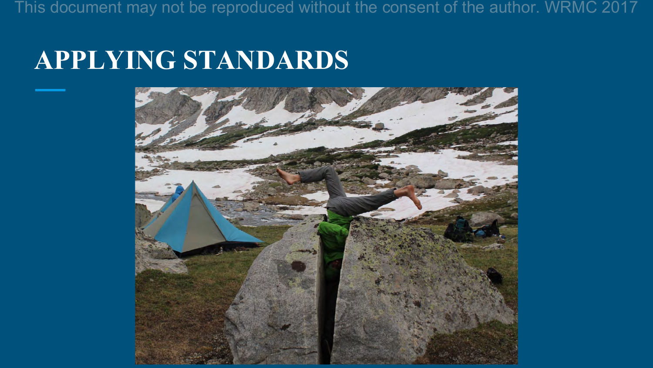#### **APPLYING STANDARDS**

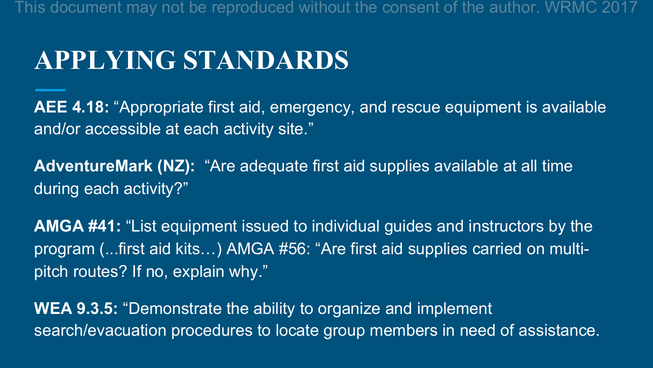#### **APPLYING STANDARDS**

**AEE 4.18:** "Appropriate first aid, emergency, and rescue equipment is available and/or accessible at each activity site."

**AdventureMark (NZ):** "Are adequate first aid supplies available at all time during each activity?"

**AMGA #41:** "List equipment issued to individual guides and instructors by the program (...first aid kits…) AMGA #56: "Are first aid supplies carried on multipitch routes? If no, explain why."

**WEA 9.3.5:** "Demonstrate the ability to organize and implement search/evacuation procedures to locate group members in need of assistance.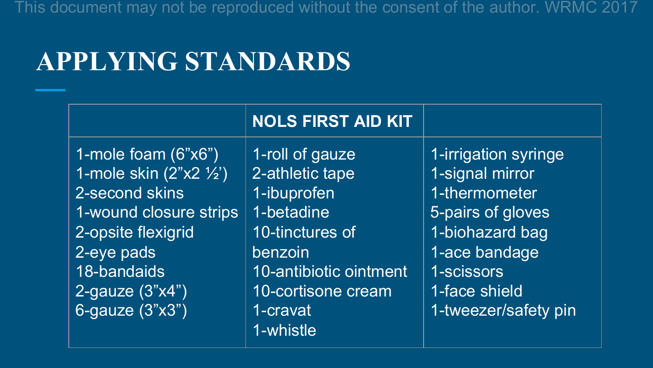### **APPLYING STANDARDS**

|                                                                                                                                                                                         | <b>NOLS FIRST AID KIT</b>                                                                                                                                 |                                                                                                                                                                          |
|-----------------------------------------------------------------------------------------------------------------------------------------------------------------------------------------|-----------------------------------------------------------------------------------------------------------------------------------------------------------|--------------------------------------------------------------------------------------------------------------------------------------------------------------------------|
| 1-mole foam $(6"x6")$<br>1-mole skin (2"x2 1/2")<br>2-second skins<br>1-wound closure strips<br>2-opsite flexigrid<br>2-eye pads<br>18-bandaids<br>2-gauze $(3"x4")$<br>6-gauze (3"x3") | 1-roll of gauze<br>2-athletic tape<br>1-ibuprofen<br>1-betadine<br>10-tinctures of<br>benzoin<br>10-antibiotic ointment<br>10-cortisone cream<br>1-cravat | 1-irrigation syringe<br>1-signal mirror<br>1-thermometer<br>5-pairs of gloves<br>1-biohazard bag<br>1-ace bandage<br>1-scissors<br>1-face shield<br>1-tweezer/safety pin |
|                                                                                                                                                                                         | 1-whistle                                                                                                                                                 |                                                                                                                                                                          |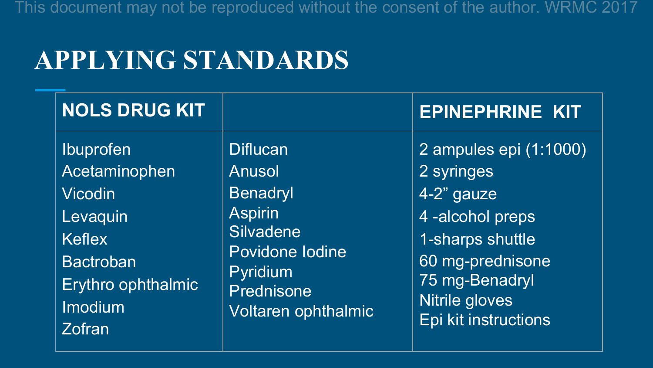### **APPLYING STANDARDS**

| <b>NOLS DRUG KIT</b> |                     | <b>EPINEPHRINE KIT</b> |
|----------------------|---------------------|------------------------|
| <b>Ibuprofen</b>     | <b>Diflucan</b>     | 2 ampules epi (1:1000) |
| Acetaminophen        | <b>Anusol</b>       | 2 syringes             |
| <b>Vicodin</b>       | <b>Benadryl</b>     | 4-2" gauze             |
| Levaquin             | <b>Aspirin</b>      | 4-alcohol preps        |
| <b>Keflex</b>        | Silvadene           | 1-sharps shuttle       |
| <b>Bactroban</b>     | Povidone lodine     | 60 mg-prednisone       |
| Erythro ophthalmic   | <b>Pyridium</b>     | 75 mg-Benadryl         |
| Imodium              | Prednisone          | Nitrile gloves         |
| <b>Zofran</b>        | Voltaren ophthalmic | Epi kit instructions   |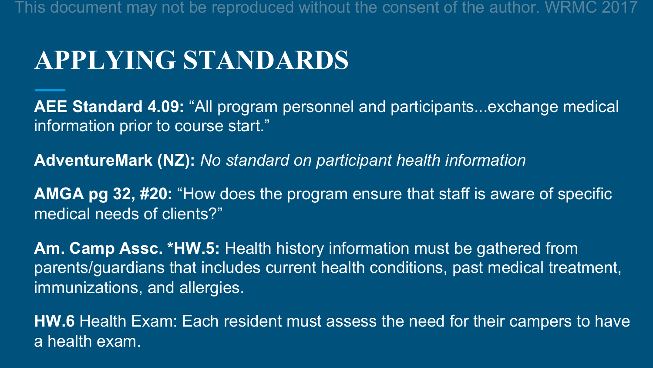#### **APPLYING STANDARDS**

**AEE Standard 4.09:** "All program personnel and participants...exchange medical information prior to course start."

**AdventureMark (NZ):** *No standard on participant health information*

**AMGA pg 32, #20:** "How does the program ensure that staff is aware of specific medical needs of clients?"

**Am. Camp Assc. \*HW.5:** Health history information must be gathered from parents/guardians that includes current health conditions, past medical treatment, immunizations, and allergies.

**HW.6** Health Exam: Each resident must assess the need for their campers to have a health exam.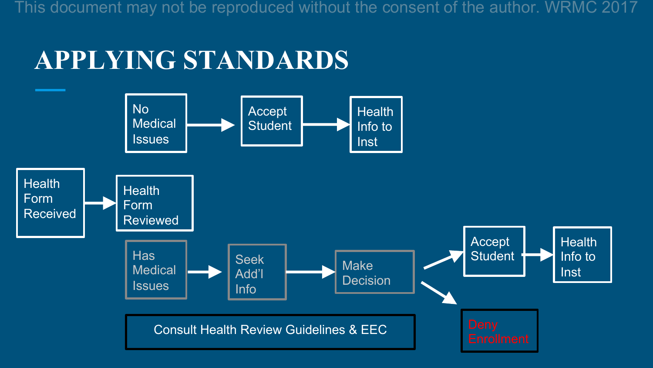#### **APPLYING STANDARDS**

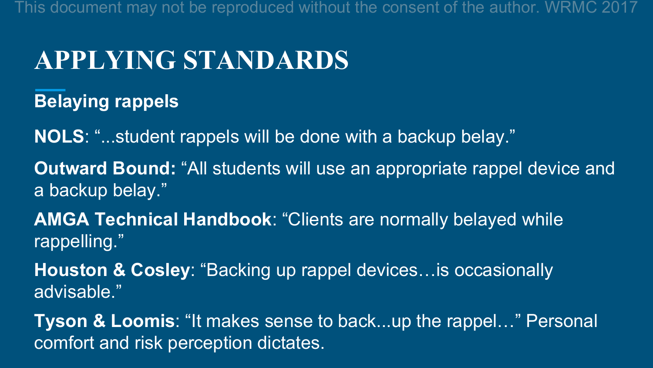#### **APPLYING STANDARDS**

**Belaying rappels**

**NOLS**: "...student rappels will be done with a backup belay."

**Outward Bound:** "All students will use an appropriate rappel device and a backup belay."

**AMGA Technical Handbook**: "Clients are normally belayed while rappelling."

**Houston & Cosley**: "Backing up rappel devices…is occasionally advisable."

**Tyson & Loomis**: "It makes sense to back...up the rappel…" Personal comfort and risk perception dictates.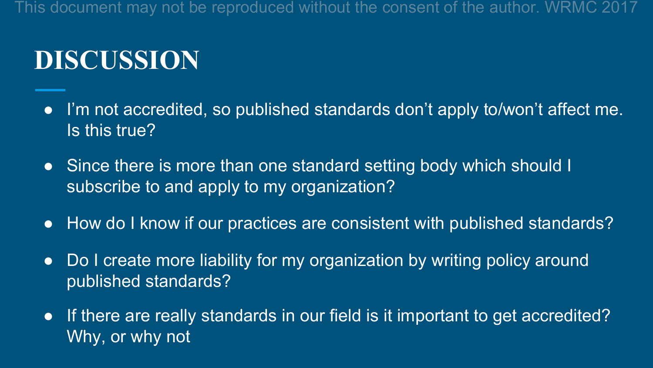# **DISCUSSION**

- I'm not accredited, so published standards don't apply to/won't affect me. Is this true?
- Since there is more than one standard setting body which should I subscribe to and apply to my organization?
- How do I know if our practices are consistent with published standards?
- Do I create more liability for my organization by writing policy around published standards?
- If there are really standards in our field is it important to get accredited? Why, or why not